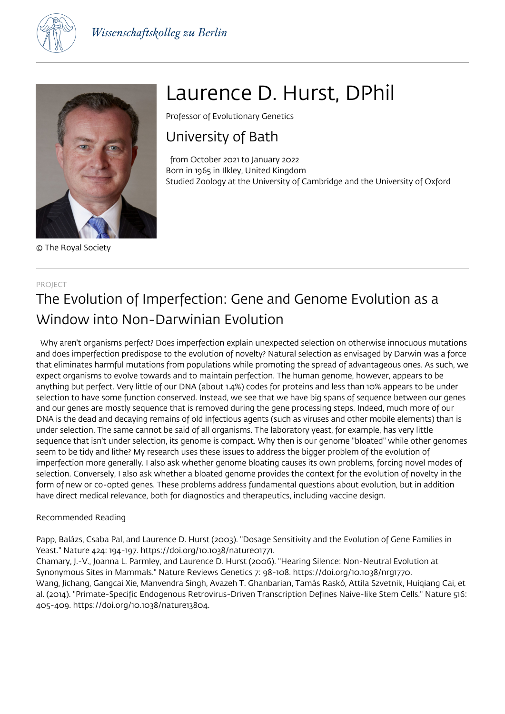



© The Royal Society

# Laurence D. Hurst, DPhil

Professor of Evolutionary Genetics

# University of Bath

 from October 2021 to January 2022 Born in 1965 in Ilkley, United Kingdom Studied Zoology at the University of Cambridge and the University of Oxford

#### PROJECT

# The Evolution of Imperfection: Gene and Genome Evolution as a Window into Non-Darwinian Evolution

 Why aren't organisms perfect? Does imperfection explain unexpected selection on otherwise innocuous mutations and does imperfection predispose to the evolution of novelty? Natural selection as envisaged by Darwin was a force that eliminates harmful mutations from populations while promoting the spread of advantageous ones. As such, we expect organisms to evolve towards and to maintain perfection. The human genome, however, appears to be anything but perfect. Very little of our DNA (about 1.4%) codes for proteins and less than 10% appears to be under selection to have some function conserved. Instead, we see that we have big spans of sequence between our genes and our genes are mostly sequence that is removed during the gene processing steps. Indeed, much more of our DNA is the dead and decaying remains of old infectious agents (such as viruses and other mobile elements) than is under selection. The same cannot be said of all organisms. The laboratory yeast, for example, has very little sequence that isn't under selection, its genome is compact. Why then is our genome "bloated" while other genomes seem to be tidy and lithe? My research uses these issues to address the bigger problem of the evolution of imperfection more generally. I also ask whether genome bloating causes its own problems, forcing novel modes of selection. Conversely, I also ask whether a bloated genome provides the context for the evolution of novelty in the form of new or co-opted genes. These problems address fundamental questions about evolution, but in addition have direct medical relevance, both for diagnostics and therapeutics, including vaccine design.

# Recommended Reading

Papp, Balázs, Csaba Pal, and Laurence D. Hurst (2003). "Dosage Sensitivity and the Evolution of Gene Families in Yeast." Nature 424: 194-197. https://doi.org/10.1038/nature01771.

Chamary, J.-V., Joanna L. Parmley, and Laurence D. Hurst (2006). "Hearing Silence: Non-Neutral Evolution at Synonymous Sites in Mammals." Nature Reviews Genetics 7: 98-108. https://doi.org/10.1038/nrg1770. Wang, Jichang, Gangcai Xie, Manvendra Singh, Avazeh T. Ghanbarian, Tamás Raskó, Attila Szvetnik, Huiqiang Cai, et al. (2014). "Primate-Specific Endogenous Retrovirus-Driven Transcription Defines Naive-like Stem Cells." Nature 516: 405-409. https://doi.org/10.1038/nature13804.